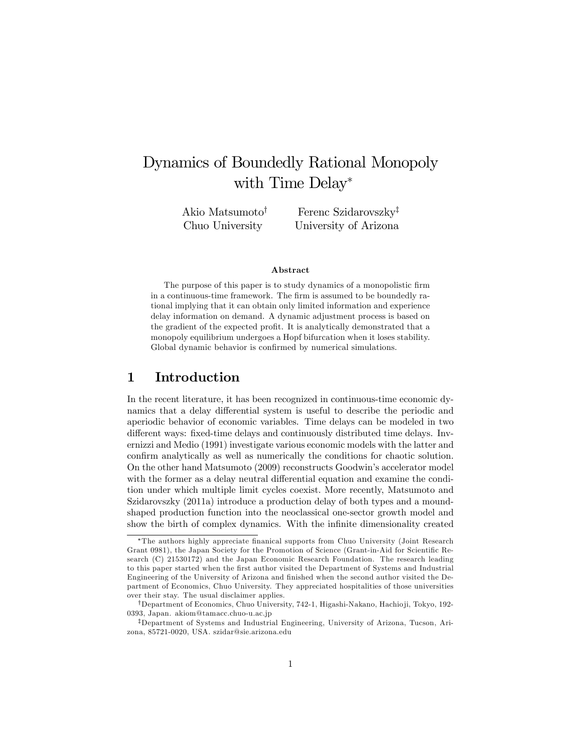# Dynamics of Boundedly Rational Monopoly with Time Delay<sup>\*</sup>

Akio Matsumoto<sup>†</sup> Chuo University Ferenc Szidarovszky<sup>‡</sup> University of Arizona

#### Abstract

The purpose of this paper is to study dynamics of a monopolistic firm in a continuous-time framework. The firm is assumed to be boundedly rational implying that it can obtain only limited information and experience delay information on demand. A dynamic adjustment process is based on the gradient of the expected profit. It is analytically demonstrated that a monopoly equilibrium undergoes a Hopf bifurcation when it loses stability. Global dynamic behavior is confirmed by numerical simulations.

## 1 Introduction

In the recent literature, it has been recognized in continuous-time economic dynamics that a delay differential system is useful to describe the periodic and aperiodic behavior of economic variables. Time delays can be modeled in two different ways: fixed-time delays and continuously distributed time delays. Invernizzi and Medio (1991) investigate various economic models with the latter and confirm analytically as well as numerically the conditions for chaotic solution. On the other hand Matsumoto (2009) reconstructs Goodwinís accelerator model with the former as a delay neutral differential equation and examine the condition under which multiple limit cycles coexist. More recently, Matsumoto and Szidarovszky (2011a) introduce a production delay of both types and a moundshaped production function into the neoclassical one-sector growth model and show the birth of complex dynamics. With the infinite dimensionality created

The authors highly appreciate Önanical supports from Chuo University (Joint Research Grant 0981), the Japan Society for the Promotion of Science (Grant-in-Aid for Scientific Research (C) 21530172) and the Japan Economic Research Foundation. The research leading to this paper started when the Örst author visited the Department of Systems and Industrial Engineering of the University of Arizona and finished when the second author visited the Department of Economics, Chuo University. They appreciated hospitalities of those universities over their stay. The usual disclaimer applies.

<sup>&</sup>lt;sup>†</sup>Department of Economics, Chuo University, 742-1, Higashi-Nakano, Hachio ji, Tokyo, 192-0393, Japan. akiom@tamacc.chuo-u.ac.jp

<sup>&</sup>lt;sup>‡</sup>Department of Systems and Industrial Engineering, University of Arizona, Tucson, Arizona, 85721-0020, USA. szidar@sie.arizona.edu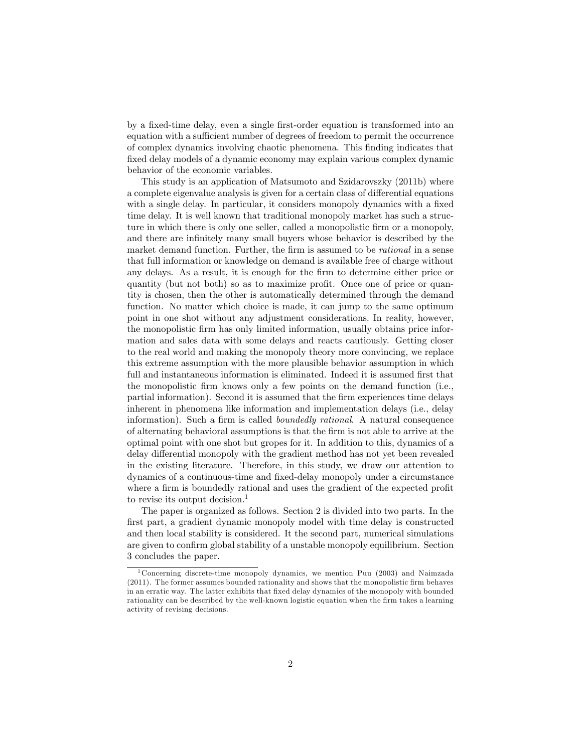by a fixed-time delay, even a single first-order equation is transformed into an equation with a sufficient number of degrees of freedom to permit the occurrence of complex dynamics involving chaotic phenomena. This Önding indicates that fixed delay models of a dynamic economy may explain various complex dynamic behavior of the economic variables.

This study is an application of Matsumoto and Szidarovszky (2011b) where a complete eigenvalue analysis is given for a certain class of differential equations with a single delay. In particular, it considers monopoly dynamics with a fixed time delay. It is well known that traditional monopoly market has such a structure in which there is only one seller, called a monopolistic firm or a monopoly, and there are infinitely many small buyers whose behavior is described by the market demand function. Further, the firm is assumed to be *rational* in a sense that full information or knowledge on demand is available free of charge without any delays. As a result, it is enough for the firm to determine either price or quantity (but not both) so as to maximize profit. Once one of price or quantity is chosen, then the other is automatically determined through the demand function. No matter which choice is made, it can jump to the same optimum point in one shot without any adjustment considerations. In reality, however, the monopolistic firm has only limited information, usually obtains price information and sales data with some delays and reacts cautiously. Getting closer to the real world and making the monopoly theory more convincing, we replace this extreme assumption with the more plausible behavior assumption in which full and instantaneous information is eliminated. Indeed it is assumed first that the monopolistic firm knows only a few points on the demand function (i.e., partial information). Second it is assumed that the firm experiences time delays inherent in phenomena like information and implementation delays (i.e., delay information). Such a firm is called *boundedly rational*. A natural consequence of alternating behavioral assumptions is that the Örm is not able to arrive at the optimal point with one shot but gropes for it. In addition to this, dynamics of a delay differential monopoly with the gradient method has not yet been revealed in the existing literature. Therefore, in this study, we draw our attention to dynamics of a continuous-time and Öxed-delay monopoly under a circumstance where a firm is boundedly rational and uses the gradient of the expected profit to revise its output decision.<sup>1</sup>

The paper is organized as follows. Section 2 is divided into two parts. In the first part, a gradient dynamic monopoly model with time delay is constructed and then local stability is considered. It the second part, numerical simulations are given to confirm global stability of a unstable monopoly equilibrium. Section 3 concludes the paper.

<sup>1</sup> Concerning discrete-time monopoly dynamics, we mention Puu (2003) and Naimzada (2011). The former assumes bounded rationality and shows that the monopolistic Örm behaves in an erratic way. The latter exhibits that Öxed delay dynamics of the monopoly with bounded rationality can be described by the well-known logistic equation when the firm takes a learning activity of revising decisions.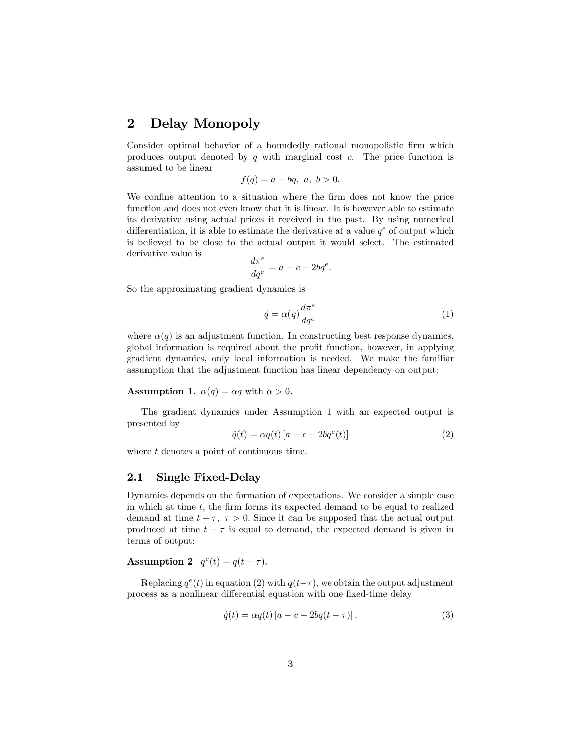## 2 Delay Monopoly

Consider optimal behavior of a boundedly rational monopolistic firm which produces output denoted by  $q$  with marginal cost  $c$ . The price function is assumed to be linear

$$
f(q) = a - bq, \ a, \ b > 0.
$$

We confine attention to a situation where the firm does not know the price function and does not even know that it is linear. It is however able to estimate its derivative using actual prices it received in the past. By using numerical differentiation, it is able to estimate the derivative at a value  $q^e$  of output which is believed to be close to the actual output it would select. The estimated derivative value is

$$
\frac{d\pi^e}{dq^e} = a - c - 2bq^e.
$$

So the approximating gradient dynamics is

$$
\dot{q} = \alpha(q) \frac{d\pi^e}{dq^e} \tag{1}
$$

where  $\alpha(q)$  is an adjustment function. In constructing best response dynamics, global information is required about the profit function, however, in applying gradient dynamics, only local information is needed. We make the familiar assumption that the adjustment function has linear dependency on output:

#### **Assumption 1.**  $\alpha(q) = \alpha q$  with  $\alpha > 0$ .

The gradient dynamics under Assumption 1 with an expected output is presented by

$$
\dot{q}(t) = \alpha q(t) \left[ a - c - 2b q^e(t) \right] \tag{2}
$$

where t denotes a point of continuous time.

### 2.1 Single Fixed-Delay

Dynamics depends on the formation of expectations. We consider a simple case in which at time  $t$ , the firm forms its expected demand to be equal to realized demand at time  $t - \tau$ ,  $\tau > 0$ . Since it can be supposed that the actual output produced at time  $t - \tau$  is equal to demand, the expected demand is given in terms of output:

Assumption 2  $q^e(t) = q(t - \tau)$ .

Replacing  $q^e(t)$  in equation (2) with  $q(t-\tau)$ , we obtain the output adjustment process as a nonlinear differential equation with one fixed-time delay

$$
\dot{q}(t) = \alpha q(t) \left[ a - c - 2bq(t - \tau) \right]. \tag{3}
$$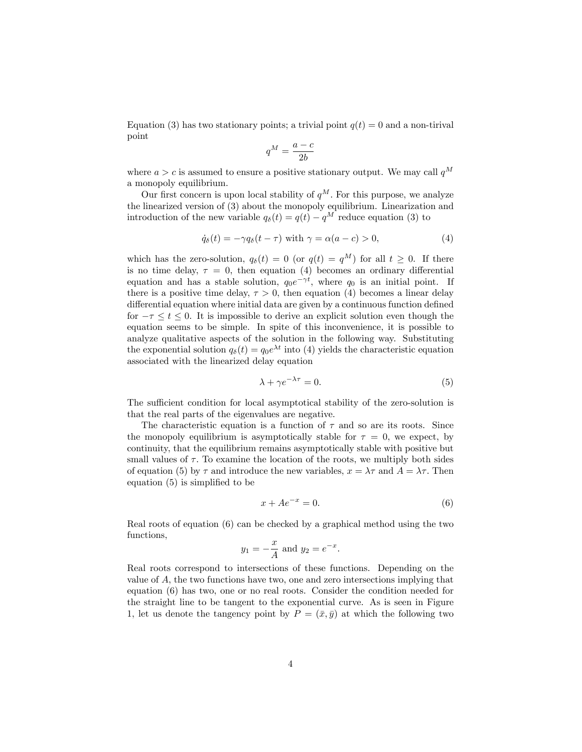Equation (3) has two stationary points; a trivial point  $q(t) = 0$  and a non-tirival point

$$
q^M = \frac{a - c}{2b}
$$

where  $a > c$  is assumed to ensure a positive stationary output. We may call  $q^M$ a monopoly equilibrium.

Our first concern is upon local stability of  $q^M$ . For this purpose, we analyze the linearized version of (3) about the monopoly equilibrium. Linearization and introduction of the new variable  $q_{\delta}(t) = q(t) - q^{M}$  reduce equation (3) to

$$
\dot{q}_{\delta}(t) = -\gamma q_{\delta}(t-\tau) \text{ with } \gamma = \alpha(a-c) > 0,
$$
\n(4)

which has the zero-solution,  $q_{\delta}(t) = 0$  (or  $q(t) = q^M$ ) for all  $t \geq 0$ . If there is no time delay,  $\tau = 0$ , then equation (4) becomes an ordinary differential equation and has a stable solution,  $q_0e^{-\gamma t}$ , where  $q_0$  is an initial point. If there is a positive time delay,  $\tau > 0$ , then equation (4) becomes a linear delay differential equation where initial data are given by a continuous function defined for  $-\tau \leq t \leq 0$ . It is impossible to derive an explicit solution even though the equation seems to be simple. In spite of this inconvenience, it is possible to analyze qualitative aspects of the solution in the following way. Substituting the exponential solution  $q_\delta(t) = q_0 e^{\lambda t}$  into (4) yields the characteristic equation associated with the linearized delay equation

$$
\lambda + \gamma e^{-\lambda \tau} = 0. \tag{5}
$$

The sufficient condition for local asymptotical stability of the zero-solution is that the real parts of the eigenvalues are negative.

The characteristic equation is a function of  $\tau$  and so are its roots. Since the monopoly equilibrium is asymptotically stable for  $\tau = 0$ , we expect, by continuity, that the equilibrium remains asymptotically stable with positive but small values of  $\tau$ . To examine the location of the roots, we multiply both sides of equation (5) by  $\tau$  and introduce the new variables,  $x = \lambda \tau$  and  $A = \lambda \tau$ . Then equation  $(5)$  is simplified to be

$$
x + Ae^{-x} = 0.\t\t(6)
$$

:

Real roots of equation (6) can be checked by a graphical method using the two functions,

$$
y_1 = -\frac{x}{A}
$$
 and  $y_2 = e^{-x}$ 

Real roots correspond to intersections of these functions. Depending on the value of  $A$ , the two functions have two, one and zero intersections implying that equation (6) has two, one or no real roots. Consider the condition needed for the straight line to be tangent to the exponential curve. As is seen in Figure 1, let us denote the tangency point by  $P = (\bar{x}, \bar{y})$  at which the following two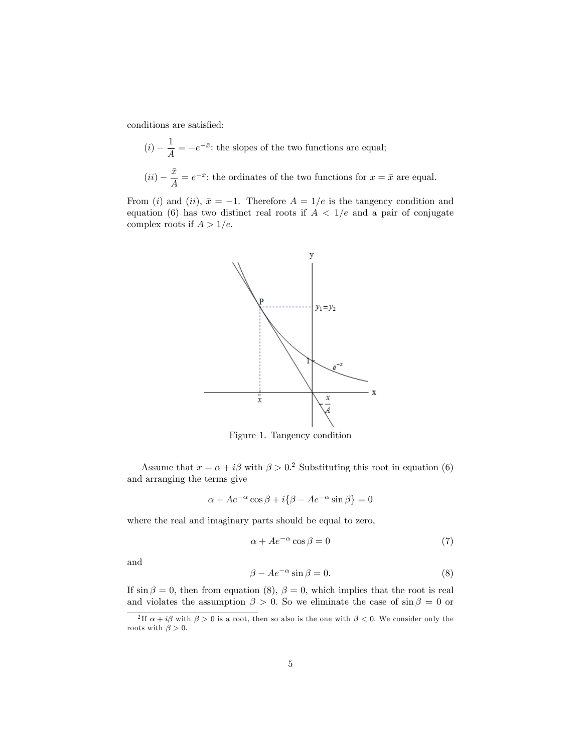conditions are satisfied:

$$
(i) - \frac{1}{A} = -e^{-\bar{x}}
$$
: the slopes of the two functions are equal;  
 $(ii) - \frac{\bar{x}}{A} = e^{-\bar{x}}$ : the ordinates of the two functions for  $x = \bar{x}$  are equal.

From (i) and (ii),  $\bar{x} = -1$ . Therefore  $A = 1/e$  is the tangency condition and equation (6) has two distinct real roots if  $A < 1/e$  and a pair of conjugate complex roots if  $A > 1/e$ .



Figure 1. Tangency condition

Assume that  $x = \alpha + i\beta$  with  $\beta > 0$ .<sup>2</sup> Substituting this root in equation (6) and arranging the terms give

$$
\alpha + Ae^{-\alpha}\cos\beta + i\{\beta - Ae^{-\alpha}\sin\beta\} = 0
$$

where the real and imaginary parts should be equal to zero,

$$
\alpha + Ae^{-\alpha}\cos\beta = 0\tag{7}
$$

and

$$
\beta - Ae^{-\alpha} \sin \beta = 0. \tag{8}
$$

If  $\sin \beta = 0$ , then from equation (8),  $\beta = 0$ , which implies that the root is real and violates the assumption  $\beta > 0$ . So we eliminate the case of  $\sin \beta = 0$  or

<sup>&</sup>lt;sup>2</sup>If  $\alpha + i\beta$  with  $\beta > 0$  is a root, then so also is the one with  $\beta < 0$ . We consider only the roots with  $\beta > 0$ .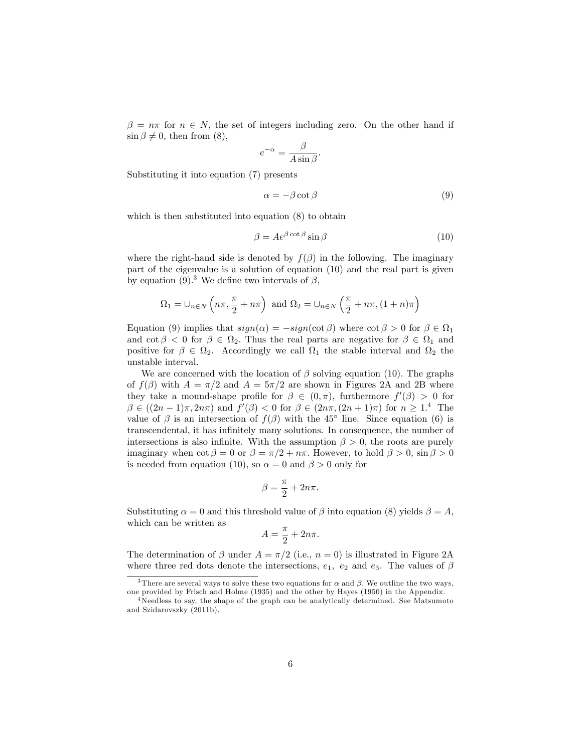$\beta = n\pi$  for  $n \in N$ , the set of integers including zero. On the other hand if  $\sin \beta \neq 0$ , then from (8),

$$
e^{-\alpha} = \frac{\beta}{A \sin \beta}.
$$

Substituting it into equation (7) presents

$$
\alpha = -\beta \cot \beta \tag{9}
$$

which is then substituted into equation (8) to obtain

$$
\beta = Ae^{\beta \cot \beta} \sin \beta \tag{10}
$$

where the right-hand side is denoted by  $f(\beta)$  in the following. The imaginary part of the eigenvalue is a solution of equation (10) and the real part is given by equation (9).<sup>3</sup> We define two intervals of  $\beta$ ,

$$
\Omega_1 = \cup_{n \in N} \left( n\pi, \frac{\pi}{2} + n\pi \right) \text{ and } \Omega_2 = \cup_{n \in N} \left( \frac{\pi}{2} + n\pi, (1+n)\pi \right)
$$

Equation (9) implies that  $sign(\alpha) = -sign(cot \beta)$  where  $cot \beta > 0$  for  $\beta \in \Omega_1$ and  $\cot \beta < 0$  for  $\beta \in \Omega_2$ . Thus the real parts are negative for  $\beta \in \Omega_1$  and positive for  $\beta \in \Omega_2$ . Accordingly we call  $\Omega_1$  the stable interval and  $\Omega_2$  the unstable interval.

We are concerned with the location of  $\beta$  solving equation (10). The graphs of  $f(\beta)$  with  $A = \pi/2$  and  $A = 5\pi/2$  are shown in Figures 2A and 2B where they take a mound-shape profile for  $\beta \in (0, \pi)$ , furthermore  $f'(\beta) > 0$  for  $\beta \in ((2n - 1)\pi, 2n\pi)$  and  $f'(\beta) < 0$  for  $\beta \in (2n\pi, (2n + 1)\pi)$  for  $n \geq 1.4$  The value of  $\beta$  is an intersection of  $f(\beta)$  with the 45<sup>°</sup> line. Since equation (6) is transcendental, it has inÖnitely many solutions. In consequence, the number of intersections is also infinite. With the assumption  $\beta > 0$ , the roots are purely imaginary when  $\cot \beta = 0$  or  $\beta = \pi/2 + n\pi$ . However, to hold  $\beta > 0$ ,  $\sin \beta > 0$ is needed from equation (10), so  $\alpha = 0$  and  $\beta > 0$  only for

$$
\beta = \frac{\pi}{2} + 2n\pi.
$$

Substituting  $\alpha = 0$  and this threshold value of  $\beta$  into equation (8) yields  $\beta = A$ , which can be written as

$$
A = \frac{\pi}{2} + 2n\pi.
$$

The determination of  $\beta$  under  $A = \pi/2$  (i.e.,  $n = 0$ ) is illustrated in Figure 2A where three red dots denote the intersections,  $e_1$ ,  $e_2$  and  $e_3$ . The values of  $\beta$ 

<sup>&</sup>lt;sup>3</sup>There are several ways to solve these two equations for  $\alpha$  and  $\beta$ . We outline the two ways, one provided by Frisch and Holme (1935) and the other by Hayes (1950) in the Appendix.

<sup>&</sup>lt;sup>4</sup>Needless to say, the shape of the graph can be analytically determined. See Matsumoto and Szidarovszky (2011b).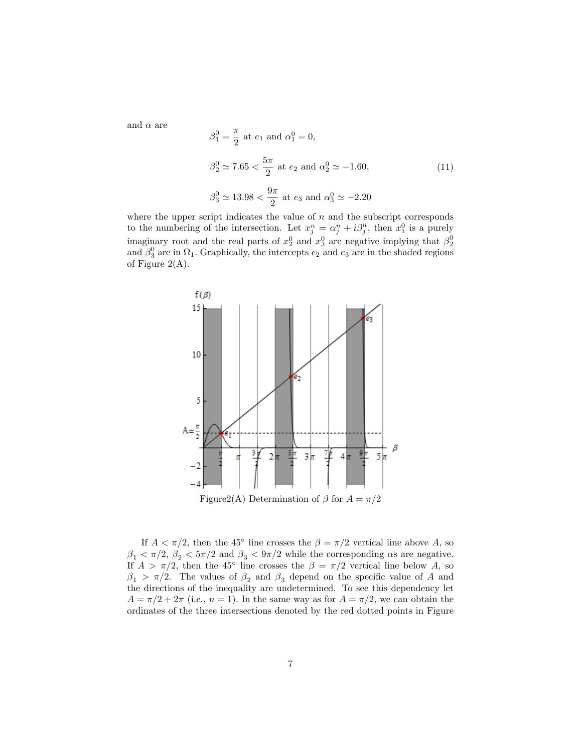and  $\alpha$  are

$$
\beta_1^0 = \frac{\pi}{2} \text{ at } e_1 \text{ and } \alpha_1^0 = 0,
$$
  

$$
\beta_2^0 \simeq 7.65 < \frac{5\pi}{2} \text{ at } e_2 \text{ and } \alpha_2^0 \simeq -1.60,
$$
  

$$
\beta_3^0 \simeq 13.98 < \frac{9\pi}{2} \text{ at } e_3 \text{ and } \alpha_3^0 \simeq -2.20
$$
 (11)

where the upper script indicates the value of  $n$  and the subscript corresponds to the numbering of the intersection. Let  $x_j^n = \alpha_j^n + i\beta_j^n$ , then  $x_1^0$  is a purely imaginary root and the real parts of  $x_2^0$  and  $x_3^0$  are negative implying that  $\beta_2^0$ and  $\beta_3^0$  are in  $\Omega_1$ . Graphically, the intercepts  $e_2$  and  $e_3$  are in the shaded regions of Figure  $2(A)$ .



If  $A < \pi/2$ , then the 45<sup>°</sup> line crosses the  $\beta = \pi/2$  vertical line above A, so  $\beta_1 < \pi/2$ ,  $\beta_2 < 5\pi/2$  and  $\beta_3 < 9\pi/2$  while the corresponding  $\alpha$ s are negative. If  $A > \pi/2$ , then the 45<sup>°</sup> line crosses the  $\beta = \pi/2$  vertical line below A, so  $\beta_1 > \pi/2$ . The values of  $\beta_2$  and  $\beta_3$  depend on the specific value of A and the directions of the inequality are undetermined. To see this dependency let  $A = \pi/2 + 2\pi$  (i.e.,  $n = 1$ ). In the same way as for  $A = \pi/2$ , we can obtain the ordinates of the three intersections denoted by the red dotted points in Figure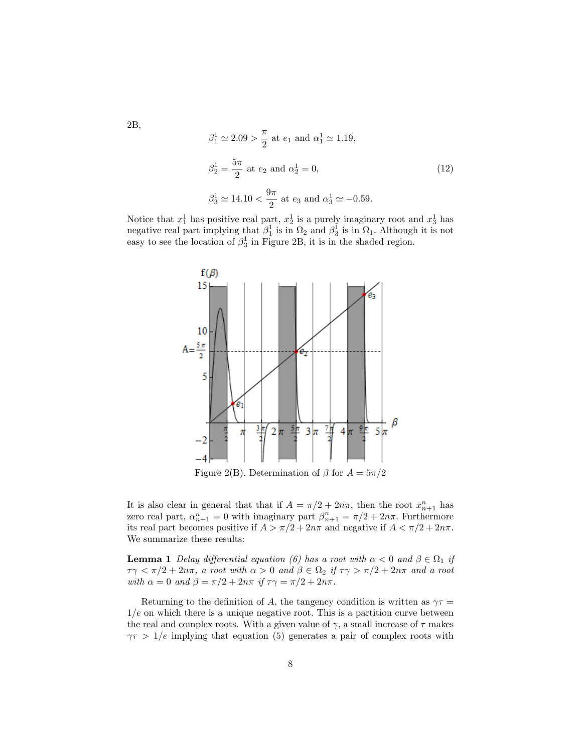$$
\beta_1^1 \approx 2.09 > \frac{\pi}{2}
$$
 at  $e_1$  and  $\alpha_1^1 \approx 1.19$ ,  
\n $\beta_2^1 = \frac{5\pi}{2}$  at  $e_2$  and  $\alpha_2^1 = 0$ ,  
\n $\beta_3^1 \approx 14.10 < \frac{9\pi}{2}$  at  $e_3$  and  $\alpha_3^1 \approx -0.59$ . (12)

Notice that  $x_1^1$  has positive real part,  $x_2^1$  is a purely imaginary root and  $x_3^1$  has negative real part implying that  $\beta_1^1$  is in  $\Omega_2$  and  $\beta_3^1$  is in  $\Omega_1$ . Although it is not easy to see the location of  $\beta_3^1$  in Figure 2B, it is in the shaded region.



Figure 2(B). Determination of  $\beta$  for  $A = 5\pi/2$ 

It is also clear in general that that if  $A = \pi/2 + 2n\pi$ , then the root  $x_{n+1}^n$  has zero real part,  $\alpha_{n+1}^n = 0$  with imaginary part  $\beta_{n+1}^n = \pi/2 + 2n\pi$ . Furthermore its real part becomes positive if  $A > \pi/2 + 2n\pi$  and negative if  $A < \pi/2 + 2n\pi$ . We summarize these results:

**Lemma 1** Delay differential equation (6) has a root with  $\alpha < 0$  and  $\beta \in \Omega_1$  if  $\tau\gamma < \pi/2 + 2n\pi$ , a root with  $\alpha > 0$  and  $\beta \in \Omega_2$  if  $\tau\gamma > \pi/2 + 2n\pi$  and a root with  $\alpha = 0$  and  $\beta = \pi/2 + 2n\pi$  if  $\tau\gamma = \pi/2 + 2n\pi$ .

Returning to the definition of A, the tangency condition is written as  $\gamma \tau =$  $1/e$  on which there is a unique negative root. This is a partition curve between the real and complex roots. With a given value of  $\gamma$ , a small increase of  $\tau$  makes  $\gamma \tau > 1/e$  implying that equation (5) generates a pair of complex roots with

2B,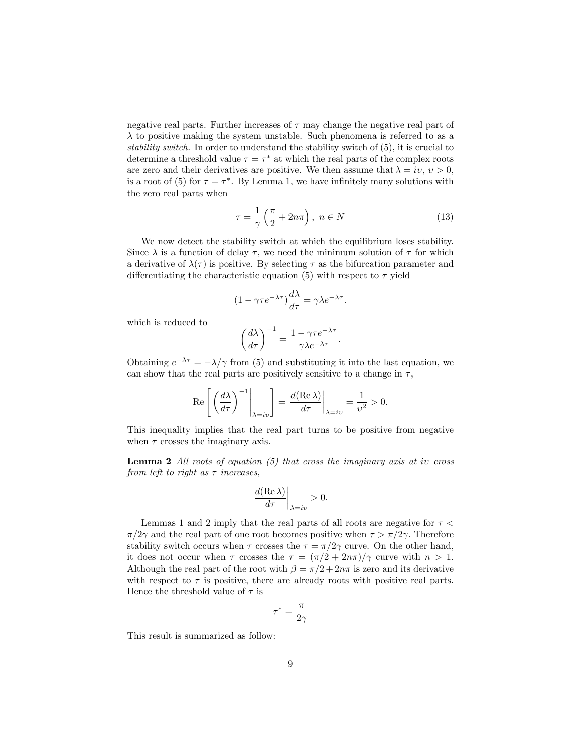negative real parts. Further increases of  $\tau$  may change the negative real part of  $\lambda$  to positive making the system unstable. Such phenomena is referred to as a stability switch. In order to understand the stability switch of (5), it is crucial to determine a threshold value  $\tau = \tau^*$  at which the real parts of the complex roots are zero and their derivatives are positive. We then assume that  $\lambda = iv, v > 0$ . is a root of (5) for  $\tau = \tau^*$ . By Lemma 1, we have infinitely many solutions with the zero real parts when

$$
\tau = \frac{1}{\gamma} \left( \frac{\pi}{2} + 2n\pi \right), \ n \in N \tag{13}
$$

We now detect the stability switch at which the equilibrium loses stability. Since  $\lambda$  is a function of delay  $\tau$ , we need the minimum solution of  $\tau$  for which a derivative of  $\lambda(\tau)$  is positive. By selecting  $\tau$  as the bifurcation parameter and differentiating the characteristic equation (5) with respect to  $\tau$  yield

$$
(1 - \gamma \tau e^{-\lambda \tau}) \frac{d\lambda}{d\tau} = \gamma \lambda e^{-\lambda \tau}.
$$

which is reduced to

$$
\left(\frac{d\lambda}{d\tau}\right)^{-1} = \frac{1 - \gamma \tau e^{-\lambda \tau}}{\gamma \lambda e^{-\lambda \tau}}.
$$

Obtaining  $e^{-\lambda \tau} = -\lambda/\gamma$  from (5) and substituting it into the last equation, we can show that the real parts are positively sensitive to a change in  $\tau$ ,

$$
\operatorname{Re}\left[\left.\left(\frac{d\lambda}{d\tau}\right)^{-1}\right|_{\lambda=iv}\right] = \left.\frac{d(\operatorname{Re}\lambda)}{d\tau}\right|_{\lambda=iv} = \frac{1}{v^2} > 0.
$$

This inequality implies that the real part turns to be positive from negative when  $\tau$  crosses the imaginary axis.

**Lemma 2** All roots of equation  $(5)$  that cross the imaginary axis at iv cross from left to right as  $\tau$  increases,

$$
\frac{d(\mathrm{Re\,}\lambda)}{d\tau}\bigg|_{\lambda=iv}>0.
$$

Lemmas 1 and 2 imply that the real parts of all roots are negative for  $\tau$  $\pi/2\gamma$  and the real part of one root becomes positive when  $\tau > \pi/2\gamma$ . Therefore stability switch occurs when  $\tau$  crosses the  $\tau = \pi/2\gamma$  curve. On the other hand, it does not occur when  $\tau$  crosses the  $\tau = (\pi/2 + 2n\pi)/\gamma$  curve with  $n > 1$ . Although the real part of the root with  $\beta = \pi/2 + 2n\pi$  is zero and its derivative with respect to  $\tau$  is positive, there are already roots with positive real parts. Hence the threshold value of  $\tau$  is

$$
\tau^*=\frac{\pi}{2\gamma}
$$

This result is summarized as follow: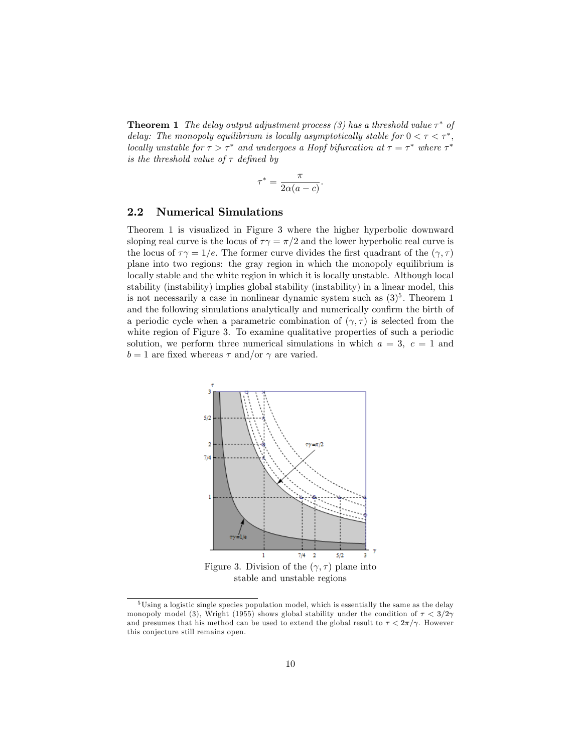**Theorem 1** The delay output adjustment process (3) has a threshold value  $\tau^*$  of delay: The monopoly equilibrium is locally asymptotically stable for  $0 < \tau < \tau^*$ , locally unstable for  $\tau > \tau^*$  and undergoes a Hopf bifurcation at  $\tau = \tau^*$  where  $\tau^*$ is the threshold value of  $\tau$  defined by

$$
\tau^* = \frac{\pi}{2\alpha(a-c)}.
$$

### 2.2 Numerical Simulations

Theorem 1 is visualized in Figure 3 where the higher hyperbolic downward sloping real curve is the locus of  $\tau \gamma = \pi/2$  and the lower hyperbolic real curve is the locus of  $\tau \gamma = 1/e$ . The former curve divides the first quadrant of the  $(\gamma, \tau)$ plane into two regions: the gray region in which the monopoly equilibrium is locally stable and the white region in which it is locally unstable. Although local stability (instability) implies global stability (instability) in a linear model, this is not necessarily a case in nonlinear dynamic system such as  $(3)^5$ . Theorem 1 and the following simulations analytically and numerically confirm the birth of a periodic cycle when a parametric combination of  $(\gamma, \tau)$  is selected from the white region of Figure 3. To examine qualitative properties of such a periodic solution, we perform three numerical simulations in which  $a = 3, c = 1$  and  $b = 1$  are fixed whereas  $\tau$  and/or  $\gamma$  are varied.



<sup>&</sup>lt;sup>5</sup>Using a logistic single species population model, which is essentially the same as the delay monopoly model (3), Wright (1955) shows global stability under the condition of  $\tau < 3/2\gamma$ and presumes that his method can be used to extend the global result to  $\tau < 2\pi/\gamma$ . However this conjecture still remains open.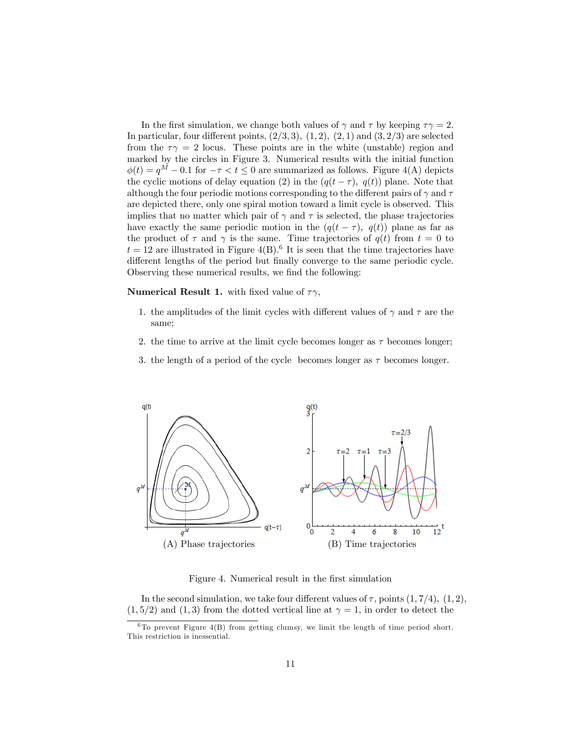In the first simulation, we change both values of  $\gamma$  and  $\tau$  by keeping  $\tau\gamma = 2$ . In particular, four different points,  $(2/3, 3)$ ,  $(1, 2)$ ,  $(2, 1)$  and  $(3, 2/3)$  are selected from the  $\tau \gamma = 2$  locus. These points are in the white (unstable) region and marked by the circles in Figure 3. Numerical results with the initial function  $\phi(t) = q^M - 0.1$  for  $-\tau < t \leq 0$  are summarized as follows. Figure 4(A) depicts the cyclic motions of delay equation (2) in the  $(q(t - \tau), q(t))$  plane. Note that although the four periodic motions corresponding to the different pairs of  $\gamma$  and  $\tau$ are depicted there, only one spiral motion toward a limit cycle is observed. This implies that no matter which pair of  $\gamma$  and  $\tau$  is selected, the phase trajectories have exactly the same periodic motion in the  $(q(t - \tau), q(t))$  plane as far as the product of  $\tau$  and  $\gamma$  is the same. Time trajectories of  $q(t)$  from  $t = 0$  to  $t = 12$  are illustrated in Figure 4(B).<sup>6</sup> It is seen that the time trajectories have different lengths of the period but finally converge to the same periodic cycle. Observing these numerical results, we find the following:

**Numerical Result 1.** with fixed value of  $\tau \gamma$ ,

- 1. the amplitudes of the limit cycles with different values of  $\gamma$  and  $\tau$  are the same;
- 2. the time to arrive at the limit cycle becomes longer as  $\tau$  becomes longer;
- 3. the length of a period of the cycle becomes longer as  $\tau$  becomes longer.



Figure 4. Numerical result in the first simulation

In the second simulation, we take four different values of  $\tau$ , points  $(1, 7/4)$ ,  $(1, 2)$ ,  $(1, 5/2)$  and  $(1, 3)$  from the dotted vertical line at  $\gamma = 1$ , in order to detect the

 $6$ To prevent Figure 4(B) from getting clumsy, we limit the length of time period short. This restriction is inessential.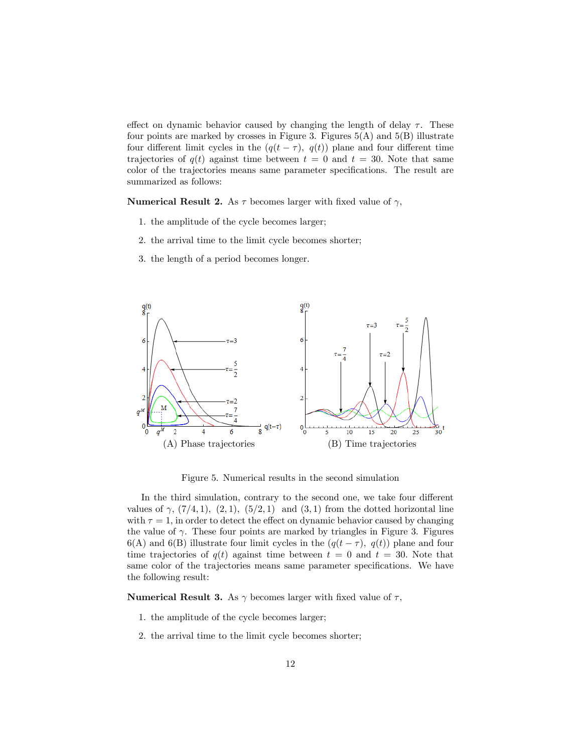effect on dynamic behavior caused by changing the length of delay  $\tau$ . These four points are marked by crosses in Figure 3. Figures  $5(A)$  and  $5(B)$  illustrate four different limit cycles in the  $(q(t - \tau), q(t))$  plane and four different time trajectories of  $q(t)$  against time between  $t = 0$  and  $t = 30$ . Note that same color of the trajectories means same parameter specifications. The result are summarized as follows:

**Numerical Result 2.** As  $\tau$  becomes larger with fixed value of  $\gamma$ ,

- 1. the amplitude of the cycle becomes larger;
- 2. the arrival time to the limit cycle becomes shorter;
- 3. the length of a period becomes longer.



Figure 5. Numerical results in the second simulation

In the third simulation, contrary to the second one, we take four different values of  $\gamma$ ,  $(7/4, 1)$ ,  $(2, 1)$ ,  $(5/2, 1)$  and  $(3, 1)$  from the dotted horizontal line with  $\tau = 1$ , in order to detect the effect on dynamic behavior caused by changing the value of  $\gamma$ . These four points are marked by triangles in Figure 3. Figures 6(A) and 6(B) illustrate four limit cycles in the  $(q(t - \tau), q(t))$  plane and four time trajectories of  $q(t)$  against time between  $t = 0$  and  $t = 30$ . Note that same color of the trajectories means same parameter specifications. We have the following result:

**Numerical Result 3.** As  $\gamma$  becomes larger with fixed value of  $\tau$ ,

- 1. the amplitude of the cycle becomes larger;
- 2. the arrival time to the limit cycle becomes shorter;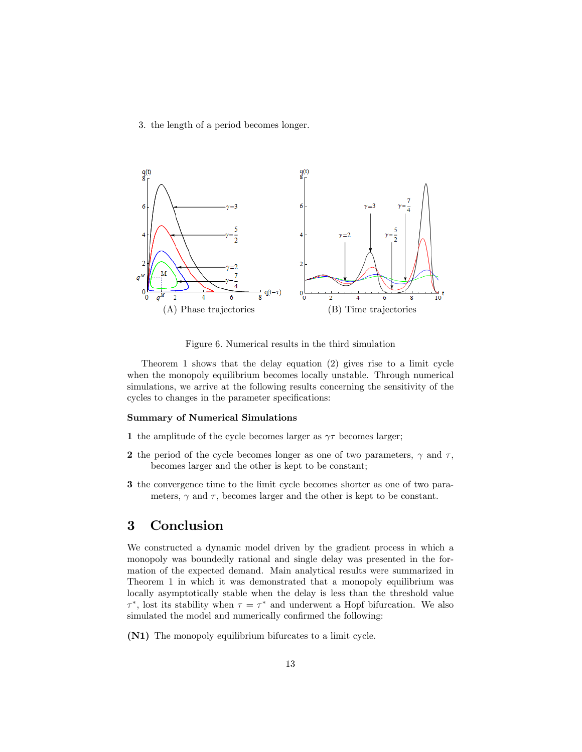3. the length of a period becomes longer.



Figure 6. Numerical results in the third simulation

Theorem 1 shows that the delay equation (2) gives rise to a limit cycle when the monopoly equilibrium becomes locally unstable. Through numerical simulations, we arrive at the following results concerning the sensitivity of the cycles to changes in the parameter specifications:

#### Summary of Numerical Simulations

- 1 the amplitude of the cycle becomes larger as  $\gamma\tau$  becomes larger;
- 2 the period of the cycle becomes longer as one of two parameters,  $\gamma$  and  $\tau$ , becomes larger and the other is kept to be constant;
- 3 the convergence time to the limit cycle becomes shorter as one of two parameters,  $\gamma$  and  $\tau$ , becomes larger and the other is kept to be constant.

## 3 Conclusion

We constructed a dynamic model driven by the gradient process in which a monopoly was boundedly rational and single delay was presented in the formation of the expected demand. Main analytical results were summarized in Theorem 1 in which it was demonstrated that a monopoly equilibrium was locally asymptotically stable when the delay is less than the threshold value  $\tau^*$ , lost its stability when  $\tau = \tau^*$  and underwent a Hopf bifurcation. We also simulated the model and numerically confirmed the following:

(N1) The monopoly equilibrium bifurcates to a limit cycle.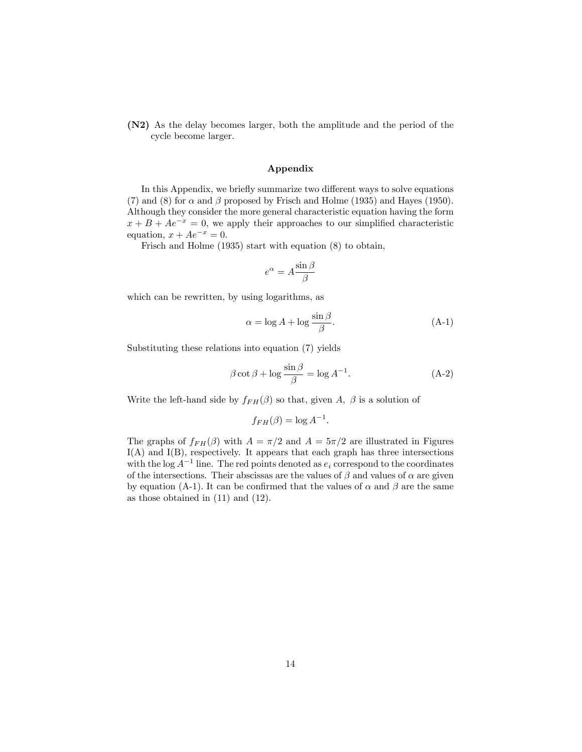(N2) As the delay becomes larger, both the amplitude and the period of the cycle become larger.

#### Appendix

In this Appendix, we briefly summarize two different ways to solve equations (7) and (8) for  $\alpha$  and  $\beta$  proposed by Frisch and Holme (1935) and Hayes (1950). Although they consider the more general characteristic equation having the form  $x + B + Ae^{-x} = 0$ , we apply their approaches to our simplified characteristic equation,  $x + Ae^{-x} = 0$ .

Frisch and Holme (1935) start with equation (8) to obtain,

$$
e^{\alpha} = A \frac{\sin \beta}{\beta}
$$

which can be rewritten, by using logarithms, as

$$
\alpha = \log A + \log \frac{\sin \beta}{\beta}.
$$
 (A-1)

Substituting these relations into equation (7) yields

$$
\beta \cot \beta + \log \frac{\sin \beta}{\beta} = \log A^{-1}.
$$
 (A-2)

Write the left-hand side by  $f_{FH}(\beta)$  so that, given A,  $\beta$  is a solution of

$$
f_{FH}(\beta) = \log A^{-1}.
$$

The graphs of  $f_{FH}(\beta)$  with  $A = \pi/2$  and  $A = 5\pi/2$  are illustrated in Figures  $I(A)$  and  $I(B)$ , respectively. It appears that each graph has three intersections with the log  $A^{-1}$  line. The red points denoted as  $e_i$  correspond to the coordinates of the intersections. Their abscissas are the values of  $\beta$  and values of  $\alpha$  are given by equation (A-1). It can be confirmed that the values of  $\alpha$  and  $\beta$  are the same as those obtained in (11) and (12).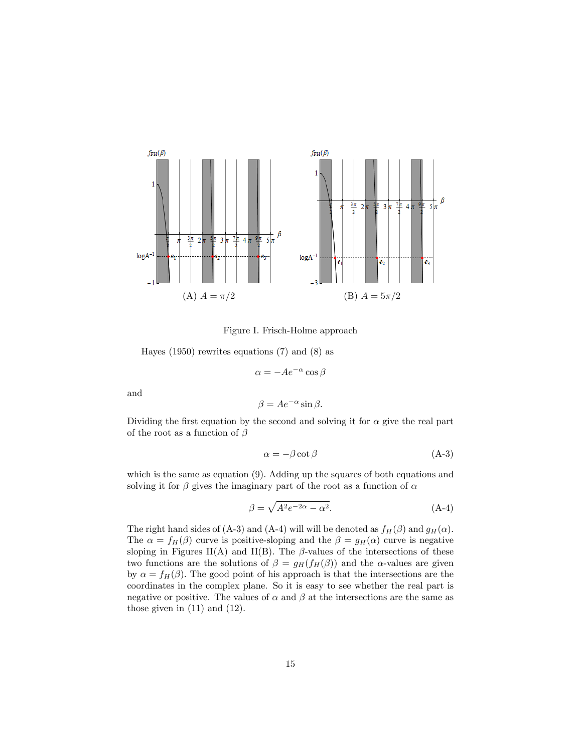

Figure I. Frisch-Holme approach

Hayes (1950) rewrites equations (7) and (8) as

$$
\alpha = -Ae^{-\alpha}\cos\beta
$$

and

$$
\beta = Ae^{-\alpha} \sin \beta.
$$

Dividing the first equation by the second and solving it for  $\alpha$  give the real part of the root as a function of  $\beta$ 

$$
\alpha = -\beta \cot \beta \tag{A-3}
$$

which is the same as equation (9). Adding up the squares of both equations and solving it for  $\beta$  gives the imaginary part of the root as a function of  $\alpha$ 

$$
\beta = \sqrt{A^2 e^{-2\alpha} - \alpha^2}.\tag{A-4}
$$

The right hand sides of (A-3) and (A-4) will will be denoted as  $f_H(\beta)$  and  $g_H(\alpha)$ . The  $\alpha = f_H(\beta)$  curve is positive-sloping and the  $\beta = g_H(\alpha)$  curve is negative sloping in Figures II(A) and II(B). The  $\beta$ -values of the intersections of these two functions are the solutions of  $\beta = g_H(f_H(\beta))$  and the  $\alpha$ -values are given by  $\alpha = f_H(\beta)$ . The good point of his approach is that the intersections are the coordinates in the complex plane. So it is easy to see whether the real part is negative or positive. The values of  $\alpha$  and  $\beta$  at the intersections are the same as those given in (11) and (12).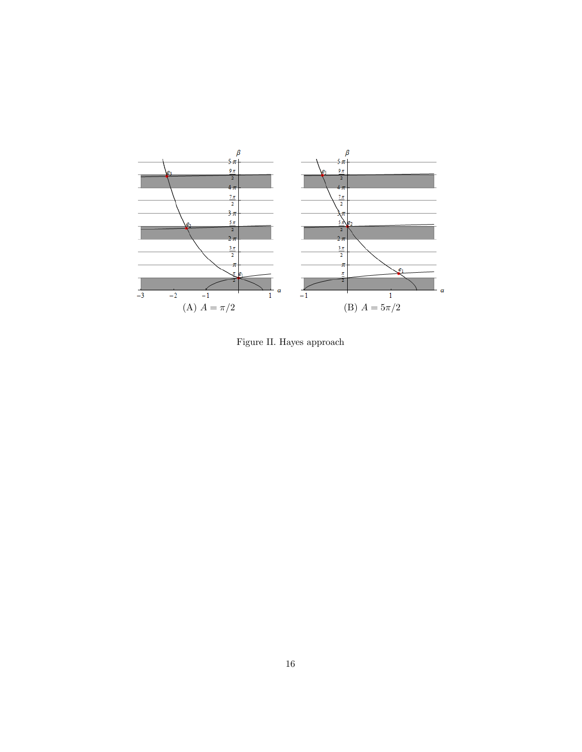

Figure II. Hayes approach